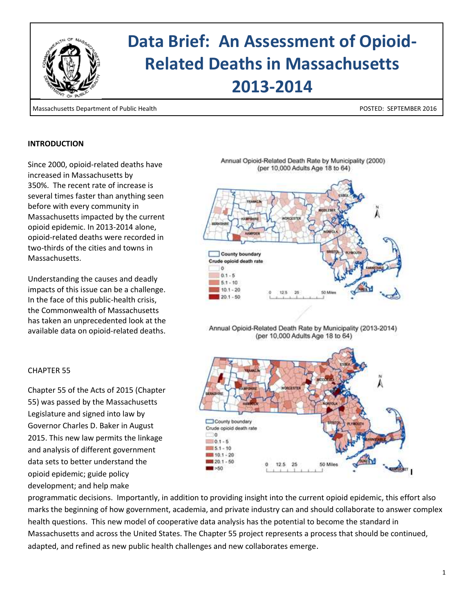

# **Data Brief: An Assessment of Opioid-Related Deaths in Massachusetts 2013-2014**

Massachusetts Department of Public Health POSTED: SEPTEMBER 2016

#### **INTRODUCTION**

 $\overline{\phantom{a}}$ 

Since 2000, opioid-related deaths have increased in Massachusetts by 350%. The recent rate of increase is several times faster than anything seen before with every community in Massachusetts impacted by the current opioid epidemic. In 2013-2014 alone, opioid-related deaths were recorded in two-thirds of the cities and towns in Massachusetts.

Understanding the causes and deadly impacts of this issue can be a challenge. In the face of this public-health crisis, the Commonwealth of Massachusetts has taken an unprecedented look at the available data on opioid-related deaths.

#### CHAPTER 55

Chapter 55 of the Acts of 2015 (Chapter 55) was passed by the Massachusetts Legislature and signed into law by Governor Charles D. Baker in August 2015. This new law permits the linkage and analysis of different government data sets to better understand the opioid epidemic; guide policy development; and help make



12.5 25

50 Mile

programmatic decisions. Importantly, in addition to providing insight into the current opioid epidemic, this effort also marks the beginning of how government, academia, and private industry can and should collaborate to answer complex health questions. This new model of cooperative data analysis has the potential to become the standard in Massachusetts and across the United States. The Chapter 55 project represents a process that should be continued, adapted, and refined as new public health challenges and new collaborates emerge.

County boundary Crude opioid death rate

30  $-10.1 - 5$  $5.1 - 10$ 10.1 - 20  $20.1 - 50$ 

 $3 - 50$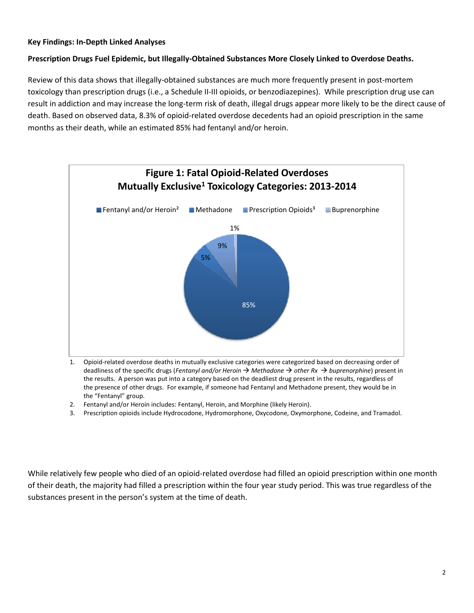#### **Key Findings: In-Depth Linked Analyses**

#### **Prescription Drugs Fuel Epidemic, but Illegally-Obtained Substances More Closely Linked to Overdose Deaths.**

Review of this data shows that illegally-obtained substances are much more frequently present in post-mortem toxicology than prescription drugs (i.e., a Schedule II-III opioids, or benzodiazepines). While prescription drug use can result in addiction and may increase the long-term risk of death, illegal drugs appear more likely to be the direct cause of death. Based on observed data, 8.3% of opioid-related overdose decedents had an opioid prescription in the same months as their death, while an estimated 85% had fentanyl and/or heroin.



- 1. Opioid-related overdose deaths in mutually exclusive categories were categorized based on decreasing order of deadliness of the specific drugs (*Fentanyl and/or Heroin Methadone other Rx buprenorphine*) present in the results. A person was put into a category based on the deadliest drug present in the results, regardless of the presence of other drugs. For example, if someone had Fentanyl and Methadone present, they would be in the "Fentanyl" group.
- 2. Fentanyl and/or Heroin includes: Fentanyl, Heroin, and Morphine (likely Heroin).
- 3. Prescription opioids include Hydrocodone, Hydromorphone, Oxycodone, Oxymorphone, Codeine, and Tramadol.

While relatively few people who died of an opioid-related overdose had filled an opioid prescription within one month of their death, the majority had filled a prescription within the four year study period. This was true regardless of the substances present in the person's system at the time of death.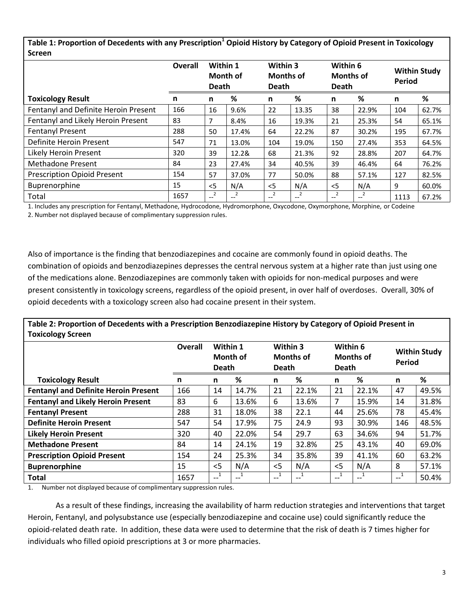**Table 1: Proportion of Decedents with any Prescription<sup>1</sup> Opioid History by Category of Opioid Present in Toxicology Screen**

|                                      | <b>Overall</b> | Within 1<br>Month of<br><b>Death</b> |         | Within 3<br><b>Months of</b><br><b>Death</b> |            | Within 6<br><b>Months of</b><br><b>Death</b> |          | <b>Within Study</b><br><b>Period</b> |       |
|--------------------------------------|----------------|--------------------------------------|---------|----------------------------------------------|------------|----------------------------------------------|----------|--------------------------------------|-------|
| <b>Toxicology Result</b>             | n              | n                                    | %       | n                                            | %          | n                                            | %        | n                                    | %     |
| Fentanyl and Definite Heroin Present | 166            | 16                                   | 9.6%    | 22                                           | 13.35      | 38                                           | 22.9%    | 104                                  | 62.7% |
| Fentanyl and Likely Heroin Present   | 83             | 7                                    | 8.4%    | 16                                           | 19.3%      | 21                                           | 25.3%    | 54                                   | 65.1% |
| <b>Fentanyl Present</b>              | 288            | 50                                   | 17.4%   | 64                                           | 22.2%      | 87                                           | 30.2%    | 195                                  | 67.7% |
| Definite Heroin Present              | 547            | 71                                   | 13.0%   | 104                                          | 19.0%      | 150                                          | 27.4%    | 353                                  | 64.5% |
| Likely Heroin Present                | 320            | 39                                   | 12.2&   | 68                                           | 21.3%      | 92                                           | 28.8%    | 207                                  | 64.7% |
| Methadone Present                    | 84             | 23                                   | 27.4%   | 34                                           | 40.5%      | 39                                           | 46.4%    | 64                                   | 76.2% |
| <b>Prescription Opioid Present</b>   | 154            | 57                                   | 37.0%   | 77                                           | 50.0%      | 88                                           | 57.1%    | 127                                  | 82.5% |
| Buprenorphine                        | 15             | < 5                                  | N/A     | < 5                                          | N/A        | $<$ 5                                        | N/A      | 9                                    | 60.0% |
| Total                                | 1657           | 2<br>$- -$                           | 2<br>-- | $\overline{2}$<br>$-$                        | 2<br>$- -$ | $- -$                                        | 2<br>$-$ | 1113                                 | 67.2% |

1. Includes any prescription for Fentanyl, Methadone, Hydrocodone, Hydromorphone, Oxycodone, Oxymorphone, Morphine, or Codeine

2. Number not displayed because of complimentary suppression rules.

Also of importance is the finding that benzodiazepines and cocaine are commonly found in opioid deaths. The combination of opioids and benzodiazepines depresses the central nervous system at a higher rate than just using one of the medications alone. Benzodiazepines are commonly taken with opioids for non-medical purposes and were present consistently in toxicology screens, regardless of the opioid present, in over half of overdoses. Overall, 30% of opioid decedents with a toxicology screen also had cocaine present in their system.

**Table 2: Proportion of Decedents with a Prescription Benzodiazepine History by Category of Opioid Present in Toxicology Screen**

| 1.91199198191919011                         |                |                                      |       |                                              |              |                                              |       |                                      |       |
|---------------------------------------------|----------------|--------------------------------------|-------|----------------------------------------------|--------------|----------------------------------------------|-------|--------------------------------------|-------|
|                                             | <b>Overall</b> | Within 1<br>Month of<br><b>Death</b> |       | Within 3<br><b>Months of</b><br><b>Death</b> |              | Within 6<br><b>Months of</b><br><b>Death</b> |       | <b>Within Study</b><br><b>Period</b> |       |
| <b>Toxicology Result</b>                    | n              | n                                    | %     | n                                            | ℅            | n                                            | %     | n                                    | %     |
| <b>Fentanyl and Definite Heroin Present</b> | 166            | 14                                   | 14.7% | 21                                           | 22.1%        | 21                                           | 22.1% | 47                                   | 49.5% |
| <b>Fentanyl and Likely Heroin Present</b>   | 83             | 6                                    | 13.6% | 6                                            | 13.6%        | 7                                            | 15.9% | 14                                   | 31.8% |
| <b>Fentanyl Present</b>                     | 288            | 31                                   | 18.0% | 38                                           | 22.1         | 44                                           | 25.6% | 78                                   | 45.4% |
| <b>Definite Heroin Present</b>              | 547            | 54                                   | 17.9% | 75                                           | 24.9         | 93                                           | 30.9% | 146                                  | 48.5% |
| <b>Likely Heroin Present</b>                | 320            | 40                                   | 22.0% | 54                                           | 29.7         | 63                                           | 34.6% | 94                                   | 51.7% |
| <b>Methadone Present</b>                    | 84             | 14                                   | 24.1% | 19                                           | 32.8%        | 25                                           | 43.1% | 40                                   | 69.0% |
| <b>Prescription Opioid Present</b>          | 154            | 24                                   | 25.3% | 34                                           | 35.8%        | 39                                           | 41.1% | 60                                   | 63.2% |
| <b>Buprenorphine</b>                        | 15             | $<$ 5                                | N/A   | $<$ 5                                        | N/A          | $<$ 5                                        | N/A   | 8                                    | 57.1% |
| <b>Total</b>                                | 1657           | $-$                                  | $- -$ | $\overline{\phantom{a}}^1$                   | $\mathbf{I}$ | $- -$                                        | $- -$ | $\mathbf{L}^{-1}$                    | 50.4% |

1. Number not displayed because of complimentary suppression rules.

As a result of these findings, increasing the availability of harm reduction strategies and interventions that target Heroin, Fentanyl, and polysubstance use (especially benzodiazepine and cocaine use) could significantly reduce the opioid-related death rate. In addition, these data were used to determine that the risk of death is 7 times higher for individuals who filled opioid prescriptions at 3 or more pharmacies.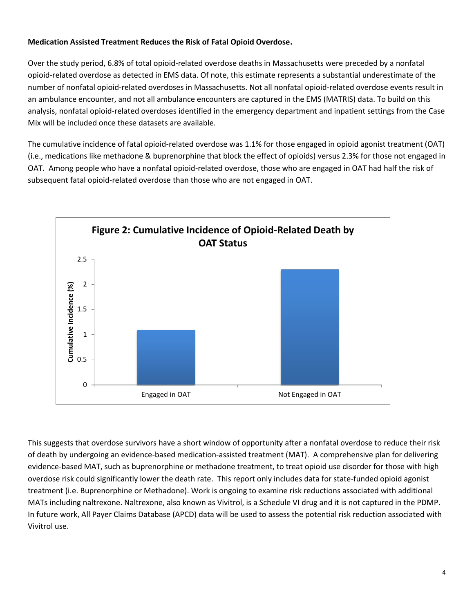## **Medication Assisted Treatment Reduces the Risk of Fatal Opioid Overdose.**

Over the study period, 6.8% of total opioid-related overdose deaths in Massachusetts were preceded by a nonfatal opioid-related overdose as detected in EMS data. Of note, this estimate represents a substantial underestimate of the number of nonfatal opioid-related overdoses in Massachusetts. Not all nonfatal opioid-related overdose events result in an ambulance encounter, and not all ambulance encounters are captured in the EMS (MATRIS) data. To build on this analysis, nonfatal opioid-related overdoses identified in the emergency department and inpatient settings from the Case Mix will be included once these datasets are available.

The cumulative incidence of fatal opioid-related overdose was 1.1% for those engaged in opioid agonist treatment (OAT) (i.e., medications like methadone & buprenorphine that block the effect of opioids) versus 2.3% for those not engaged in OAT. Among people who have a nonfatal opioid-related overdose, those who are engaged in OAT had half the risk of subsequent fatal opioid-related overdose than those who are not engaged in OAT.



This suggests that overdose survivors have a short window of opportunity after a nonfatal overdose to reduce their risk of death by undergoing an evidence-based medication-assisted treatment (MAT). A comprehensive plan for delivering evidence-based MAT, such as buprenorphine or methadone treatment, to treat opioid use disorder for those with high overdose risk could significantly lower the death rate. This report only includes data for state-funded opioid agonist treatment (i.e. Buprenorphine or Methadone). Work is ongoing to examine risk reductions associated with additional MATs including naltrexone. Naltrexone, also known as Vivitrol, is a Schedule VI drug and it is not captured in the PDMP. In future work, All Payer Claims Database (APCD) data will be used to assess the potential risk reduction associated with Vivitrol use.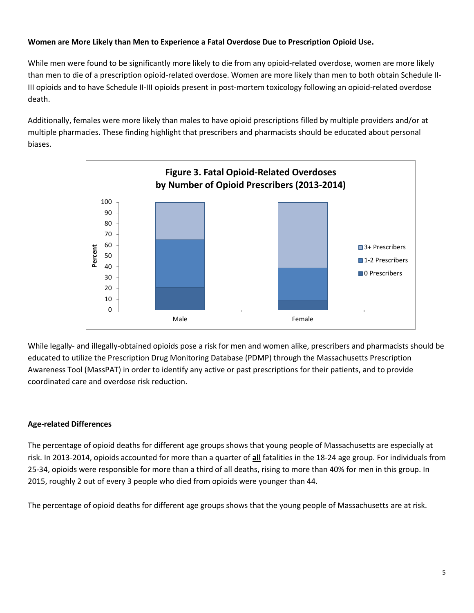## **Women are More Likely than Men to Experience a Fatal Overdose Due to Prescription Opioid Use.**

While men were found to be significantly more likely to die from any opioid-related overdose, women are more likely than men to die of a prescription opioid-related overdose. Women are more likely than men to both obtain Schedule II-III opioids and to have Schedule II-III opioids present in post-mortem toxicology following an opioid-related overdose death.

Additionally, females were more likely than males to have opioid prescriptions filled by multiple providers and/or at multiple pharmacies. These finding highlight that prescribers and pharmacists should be educated about personal biases.



While legally- and illegally-obtained opioids pose a risk for men and women alike, prescribers and pharmacists should be educated to utilize the Prescription Drug Monitoring Database (PDMP) through the Massachusetts Prescription Awareness Tool (MassPAT) in order to identify any active or past prescriptions for their patients, and to provide coordinated care and overdose risk reduction.

## **Age-related Differences**

The percentage of opioid deaths for different age groups shows that young people of Massachusetts are especially at risk. In 2013-2014, opioids accounted for more than a quarter of **all** fatalities in the 18-24 age group. For individuals from 25-34, opioids were responsible for more than a third of all deaths, rising to more than 40% for men in this group. In 2015, roughly 2 out of every 3 people who died from opioids were younger than 44.

The percentage of opioid deaths for different age groups shows that the young people of Massachusetts are at risk.